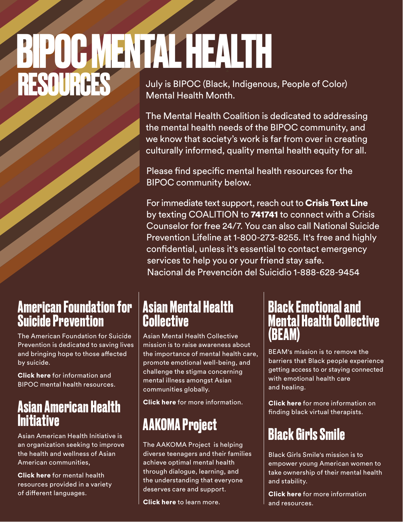# **RESOURCES** July is BIPOC (Black, Indigenous, People of Color) **BIPOC MENTAL HEALTH**

Mental Health Month.

The Mental Health Coalition is dedicated to addressing the mental health needs of the BIPOC community, and we know that society's work is far from over in creating culturally informed, quality mental health equity for all.

Please find specific mental health resources for the BIPOC community below.

For immediate text support, reach out to Crisis Text Line by texting COALITION to 741741 to connect with a Crisis Counselor for free 24/7. You can also call National Suicide Prevention Lifeline at 1-800-273-8255. It's free and highly confidential, unless it's essential to contact emergency services to help you or your friend stay safe. Nacional de Prevención del Suicidio 1-888-628-9454

#### **American Foundation for Suicide Prevention**

The American Foundation for Suicide Prevention is dedicated to saving lives and bringing hope to those affected by suicide.

[Click here](https://afsp.org/minority-mental-health-resources) for information and BIPOC mental health resources.

#### **Asian American Health Initiative**

Asian American Health Initiative is an organization seeking to improve the health and wellness of Asian American communities,

[Click here](https://aahiinfo.org/aahi-resources/) for mental health resources provided in a variety of different languages.

#### **Asian Mental Health Collective**

Asian Mental Health Collective mission is to raise awareness about the importance of mental health care, promote emotional well-being, and challenge the stigma concerning mental illness amongst Asian communities globally.

[Click here](https://www.asianmhc.org/) for more information.

# **AAKOMA Project**

The AAKOMA Project is helping diverse teenagers and their families achieve optimal mental health through dialogue, learning, and the understanding that everyone deserves care and support.

[Click here](https://aakomaproject.org/) to learn more.

#### **Black Emotional and Mental Health Collective (BEAM)**

BEAM's mission is to remove the barriers that Black people experience getting access to or staying connected with emotional health care and healing.

[Click here](https://www.beam.community/bvtn) for more information on finding black virtual therapists.

# **Black Girls Smile**

Black Girls Smile's mission is to empower young American women to take ownership of their mental health and stability.

[Click here](https://www.blackgirlssmile.org/resources) for more information and resources.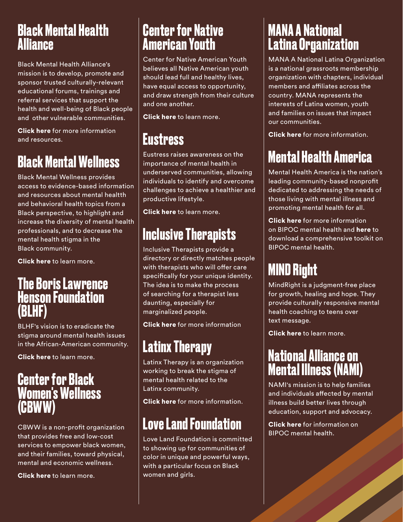#### **Black Mental Health Alliance**

Black Mental Health Alliance's mission is to develop, promote and sponsor trusted culturally-relevant educational forums, trainings and referral services that support the health and well-being of Black people and other vulnerable communities.

[Click here](https://blackmentalhealth.com/) for more information and resources.

# **Black Mental Wellness**

Black Mental Wellness provides access to evidence-based information and resources about mental healtth and behavioral health topics from a Black perspective, to highlight and increase the diversity of mental health professionals, and to decrease the mental health stigma in the Black community.

[Click here](https://www.blackmentalwellness.com/) to learn more.

#### **The Boris Lawrence Henson Foundation (BLHF)**

BLHF's vision is to eradicate the stigma around mental health issues in the African-American community.

[Click here](https://borislhensonfoundation.org/) to learn more.

#### **Center for Black Women's Wellness (CBWW)**

CBWW is a non-profit organization that provides free and low-cost services to empower black women, and their families, toward physical, mental and economic wellness.

[Click here](https://www.cbww.org/) to learn more.

### **Center for Native American Youth**

Center for Native American Youth believes all Native American youth should lead full and healthy lives, have equal access to opportunity, and draw strength from their culture and one another.

[Click here](https://www.aspeninstitute.org/programs/center-for-native-american-youth/) to learn more.

### **Eustress**

Eustress raises awareness on the importance of mental health in underserved communities, allowing individuals to identify and overcome challenges to achieve a healthier and productive lifestyle.

[Click here](https://www.eustressinc.org/) to learn more.

### **Inclusive Therapists**

Inclusive Therapists provide a directory or directly matches people with therapists who will offer care specifically for your unique identity. The idea is to make the process of searching for a therapist less daunting, especially for marginalized people.

[Click here](https://www.inclusivetherapists.com/) for more information

# **Latinx Therapy**

Latinx Therapy is an organization working to break the stigma of mental health related to the Latinx community.

[Click here](https://latinxtherapy.com/) for more information.

# **Love Land Foundation**

Love Land Foundation is committed to showing up for communities of color in unique and powerful ways, with a particular focus on Black women and girls.

#### **MANA A National Latina Organization**

MANA A National Latina Organization is a national grassroots membership organization with chapters, individual members and affiliates across the country. MANA represents the interests of Latina women, youth and families on issues that impact our communities.

[Click here](https://www.hermana.org/) for more information.

# **Mental Health America**

Mental Health America is the nation's leading community-based nonprofit dedicated to addressing the needs of those living with mental illness and promoting mental health for all.

[Click here](https://www.mhanational.org/bipoc-mental-health) for more information on BIPOC mental health and [here](https://mhanational.org/BIPOC-mental-health-month) to download a comprehensive toolkit on BIPOC mental health.

# **MIND Right**

MindRight is a judgment-free place for growth, healing and hope. They provide culturally responsive mental health coaching to teens over text message.

**[Click here](https://www.mindright.io/)** to learn more.

### **National Alliance on Mental Illness (NAMI)**

NAMI's mission is to help families and individuals affected by mental illness build better lives through education, support and advocacy.

[Click here](https://www.nami.org/Support-Education/Diverse-Communities/African-American-Mental-Health) for information on BIPOC mental health.